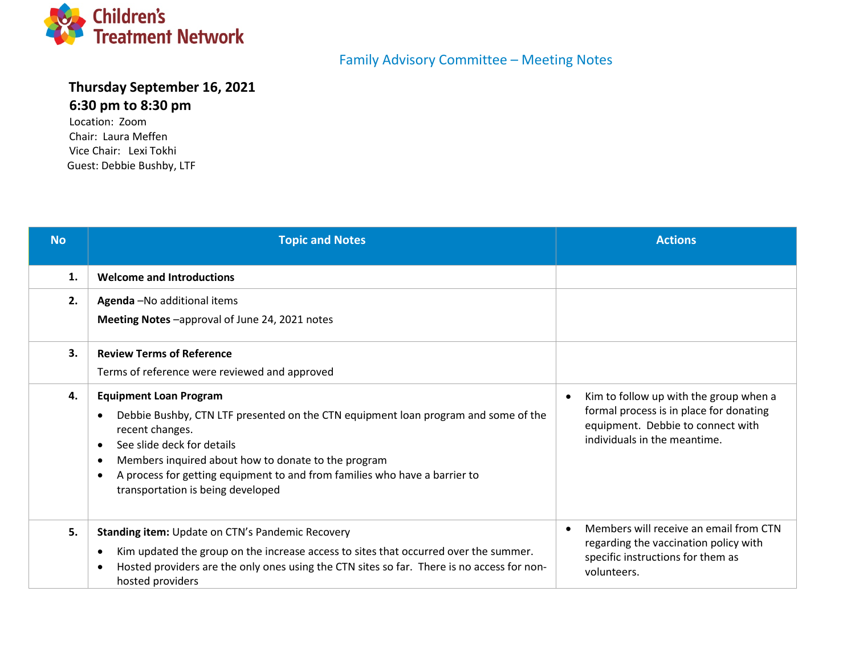

## **Thursday September 16, 2021 6:30 pm to 8:30 pm**

Location: Zoom Chair: Laura Meffen Vice Chair: Lexi Tokhi Guest: Debbie Bushby, LTF

## Family Advisory Committee – Meeting Notes

| <b>No</b> | <b>Topic and Notes</b>                                                                                                                                                                                                                                                                                                                                                                | <b>Actions</b>                                                                                                                                                      |
|-----------|---------------------------------------------------------------------------------------------------------------------------------------------------------------------------------------------------------------------------------------------------------------------------------------------------------------------------------------------------------------------------------------|---------------------------------------------------------------------------------------------------------------------------------------------------------------------|
| 1.        | <b>Welcome and Introductions</b>                                                                                                                                                                                                                                                                                                                                                      |                                                                                                                                                                     |
| 2.        | Agenda - No additional items<br>Meeting Notes -approval of June 24, 2021 notes                                                                                                                                                                                                                                                                                                        |                                                                                                                                                                     |
| 3.        | <b>Review Terms of Reference</b><br>Terms of reference were reviewed and approved                                                                                                                                                                                                                                                                                                     |                                                                                                                                                                     |
| 4.        | <b>Equipment Loan Program</b><br>Debbie Bushby, CTN LTF presented on the CTN equipment loan program and some of the<br>recent changes.<br>See slide deck for details<br>$\bullet$<br>Members inquired about how to donate to the program<br>$\bullet$<br>A process for getting equipment to and from families who have a barrier to<br>$\bullet$<br>transportation is being developed | Kim to follow up with the group when a<br>$\bullet$<br>formal process is in place for donating<br>equipment. Debbie to connect with<br>individuals in the meantime. |
| 5.        | Standing item: Update on CTN's Pandemic Recovery<br>Kim updated the group on the increase access to sites that occurred over the summer.<br>$\bullet$<br>Hosted providers are the only ones using the CTN sites so far. There is no access for non-<br>hosted providers                                                                                                               | Members will receive an email from CTN<br>$\bullet$<br>regarding the vaccination policy with<br>specific instructions for them as<br>volunteers.                    |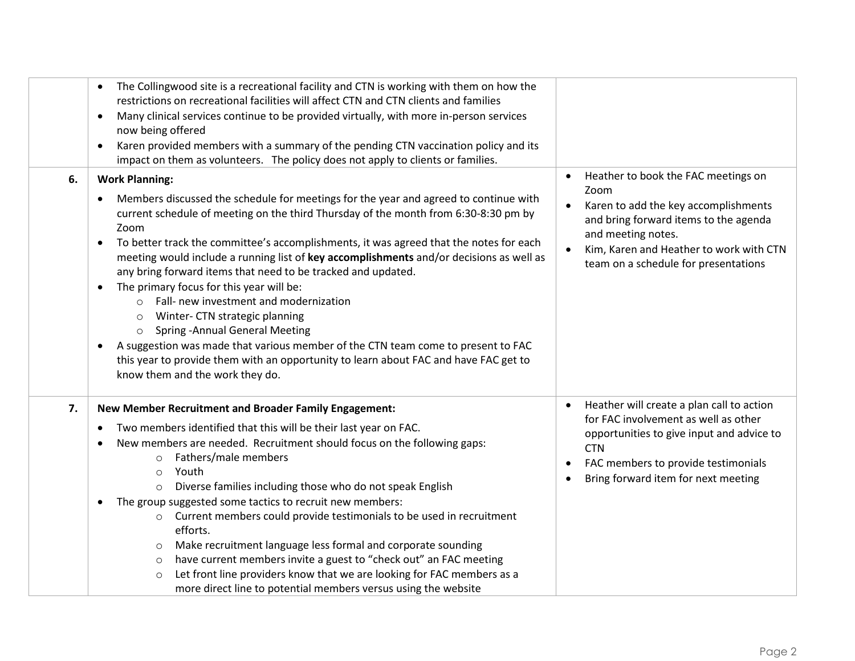|    | The Collingwood site is a recreational facility and CTN is working with them on how the<br>restrictions on recreational facilities will affect CTN and CTN clients and families<br>Many clinical services continue to be provided virtually, with more in-person services<br>$\bullet$<br>now being offered<br>Karen provided members with a summary of the pending CTN vaccination policy and its<br>٠<br>impact on them as volunteers. The policy does not apply to clients or families.                                                                                                                                                                                                                                                                                                                                                                                                                                      |                                                                                                                                                                                                                                                                              |
|----|---------------------------------------------------------------------------------------------------------------------------------------------------------------------------------------------------------------------------------------------------------------------------------------------------------------------------------------------------------------------------------------------------------------------------------------------------------------------------------------------------------------------------------------------------------------------------------------------------------------------------------------------------------------------------------------------------------------------------------------------------------------------------------------------------------------------------------------------------------------------------------------------------------------------------------|------------------------------------------------------------------------------------------------------------------------------------------------------------------------------------------------------------------------------------------------------------------------------|
| 6. | <b>Work Planning:</b><br>Members discussed the schedule for meetings for the year and agreed to continue with<br>$\bullet$<br>current schedule of meeting on the third Thursday of the month from 6:30-8:30 pm by<br>Zoom<br>To better track the committee's accomplishments, it was agreed that the notes for each<br>$\bullet$<br>meeting would include a running list of key accomplishments and/or decisions as well as<br>any bring forward items that need to be tracked and updated.<br>The primary focus for this year will be:<br>$\bullet$<br>Fall- new investment and modernization<br>$\circ$<br>Winter- CTN strategic planning<br>$\circ$<br><b>Spring - Annual General Meeting</b><br>$\circ$<br>A suggestion was made that various member of the CTN team come to present to FAC<br>٠<br>this year to provide them with an opportunity to learn about FAC and have FAC get to<br>know them and the work they do. | Heather to book the FAC meetings on<br>$\bullet$<br>Zoom<br>Karen to add the key accomplishments<br>$\bullet$<br>and bring forward items to the agenda<br>and meeting notes.<br>Kim, Karen and Heather to work with CTN<br>$\bullet$<br>team on a schedule for presentations |
| 7. | New Member Recruitment and Broader Family Engagement:<br>Two members identified that this will be their last year on FAC.<br>٠<br>New members are needed. Recruitment should focus on the following gaps:<br>$\bullet$<br>Fathers/male members<br>$\circ$<br>Youth<br>$\circ$<br>Diverse families including those who do not speak English<br>$\circ$<br>The group suggested some tactics to recruit new members:<br>٠<br>Current members could provide testimonials to be used in recruitment<br>$\circ$<br>efforts.<br>Make recruitment language less formal and corporate sounding<br>$\circ$<br>have current members invite a guest to "check out" an FAC meeting<br>$\circ$<br>Let front line providers know that we are looking for FAC members as a<br>$\circ$<br>more direct line to potential members versus using the website                                                                                         | Heather will create a plan call to action<br>$\bullet$<br>for FAC involvement as well as other<br>opportunities to give input and advice to<br><b>CTN</b><br>FAC members to provide testimonials<br>$\bullet$<br>Bring forward item for next meeting                         |